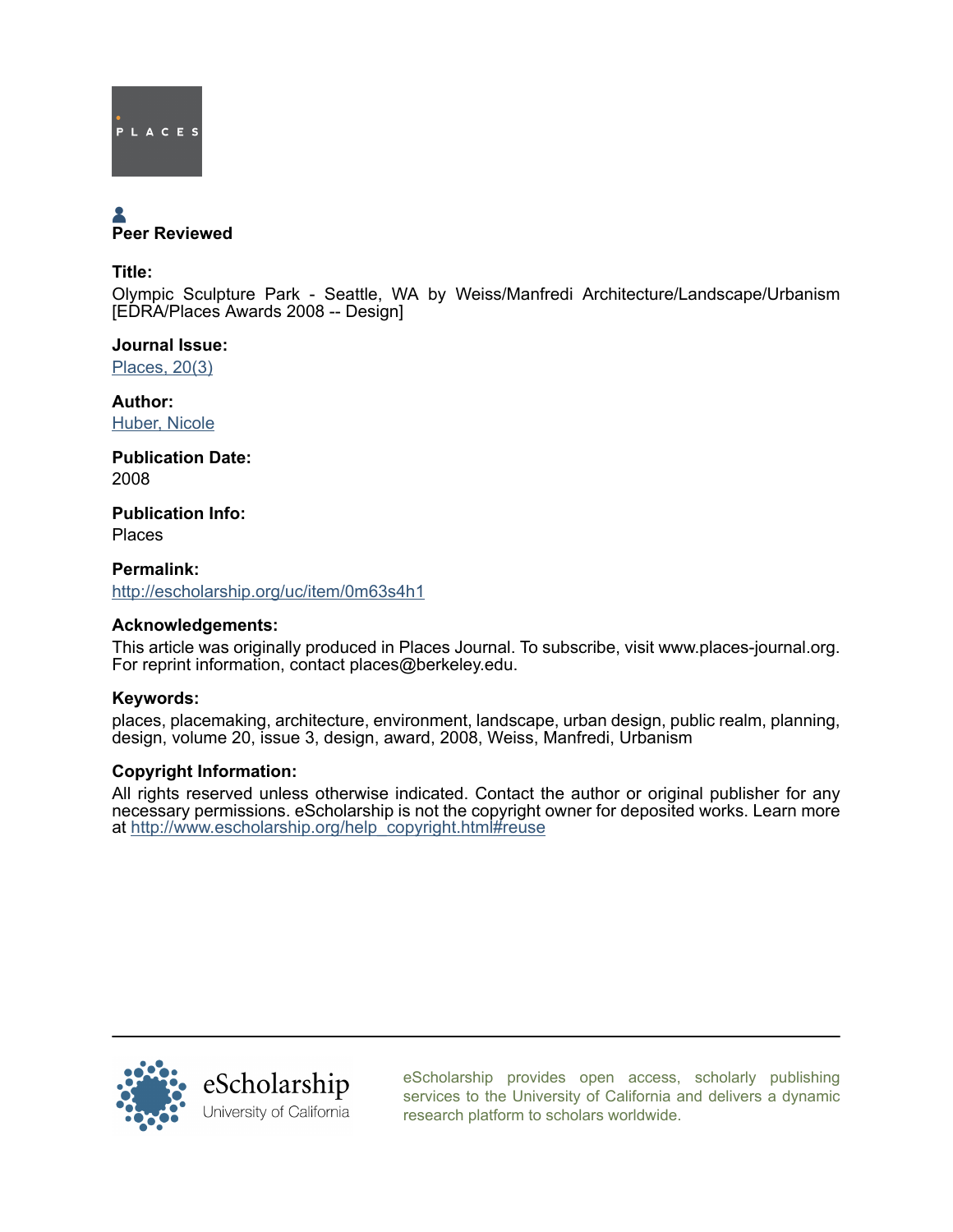

# Peer Reviewed

Title:

Olympic Sculpture Park - Seattle, WA by Weiss/Manfredi Architecture/Landscape/Urbanism [EDRA/Places Awards 2008 -- Design]

Journal Issue: [Places, 20\(3\)](http://escholarship.org/uc/ced_places?volume=20;issue=3)

Author: [Huber, Nicole](http://escholarship.org/uc/search?creator=Huber%2C%20Nicole)

Publication Date: 2008

Publication Info: Places

Permalink: <http://escholarship.org/uc/item/0m63s4h1>

## Acknowledgements:

This article was originally produced in Places Journal. To subscribe, visit www.places-journal.org. For reprint information, contact places@berkeley.edu.

## Keywords:

places, placemaking, architecture, environment, landscape, urban design, public realm, planning, design, volume 20, issue 3, design, award, 2008, Weiss, Manfredi, Urbanism

## Copyright Information:

All rights reserved unless otherwise indicated. Contact the author or original publisher for any necessary permissions. eScholarship is not the copyright owner for deposited works. Learn more at [http://www.escholarship.org/help\\_copyright.html#reuse](http://www.escholarship.org/help_copyright.html#reuse)



[eScholarship provides open access, scholarly publishing](http://escholarship.org) [services to the University of California and delivers a dynamic](http://escholarship.org) [research platform to scholars worldwide.](http://escholarship.org)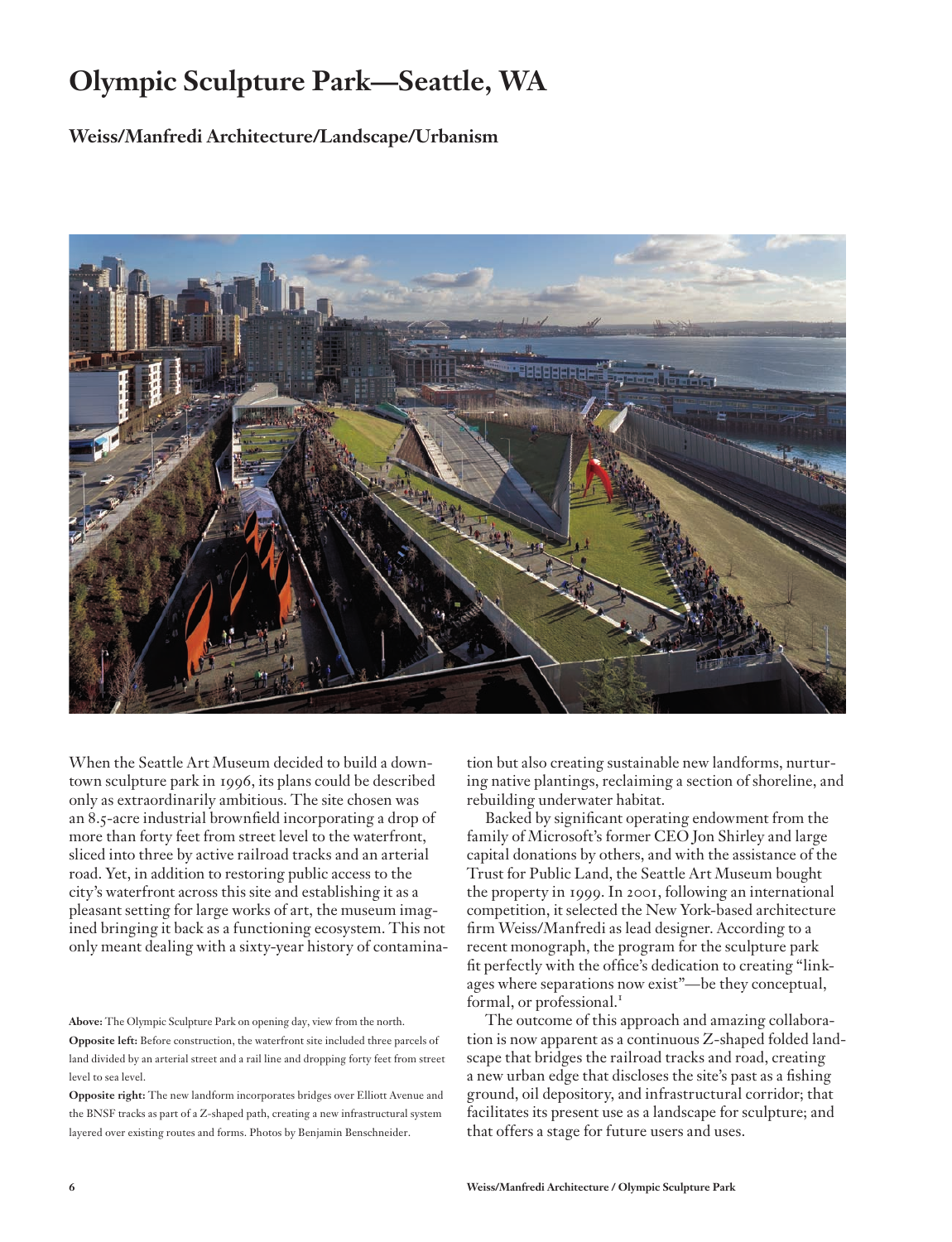## **Olympic Sculpture Park—Seattle, WA**

**Weiss/Manfredi Architecture/Landscape/Urbanism**



When the Seattle Art Museum decided to build a downtown sculpture park in 1996, its plans could be described only as extraordinarily ambitious. The site chosen was an 8.5-acre industrial brownfield incorporating a drop of more than forty feet from street level to the waterfront, sliced into three by active railroad tracks and an arterial road. Yet, in addition to restoring public access to the city's waterfront across this site and establishing it as a pleasant setting for large works of art, the museum imagined bringing it back as a functioning ecosystem. This not only meant dealing with a sixty-year history of contamina-

**Above:** The Olympic Sculpture Park on opening day, view from the north. **Opposite left:** Before construction, the waterfront site included three parcels of land divided by an arterial street and a rail line and dropping forty feet from street level to sea level.

**Opposite right:** The new landform incorporates bridges over Elliott Avenue and the BNSF tracks as part of a Z-shaped path, creating a new infrastructural system layered over existing routes and forms. Photos by Benjamin Benschneider.

tion but also creating sustainable new landforms, nurturing native plantings, reclaiming a section of shoreline, and rebuilding underwater habitat.

Backed by significant operating endowment from the family of Microsoft's former CEO Jon Shirley and large capital donations by others, and with the assistance of the Trust for Public Land, the Seattle Art Museum bought the property in 1999. In 2001, following an international competition, it selected the New York-based architecture firm Weiss/Manfredi as lead designer. According to a recent monograph, the program for the sculpture park fit perfectly with the office's dedication to creating "linkages where separations now exist"—be they conceptual, formal, or professional.<sup>1</sup>

The outcome of this approach and amazing collaboration is now apparent as a continuous Z-shaped folded landscape that bridges the railroad tracks and road, creating a new urban edge that discloses the site's past as a fishing ground, oil depository, and infrastructural corridor; that facilitates its present use as a landscape for sculpture; and that offers a stage for future users and uses.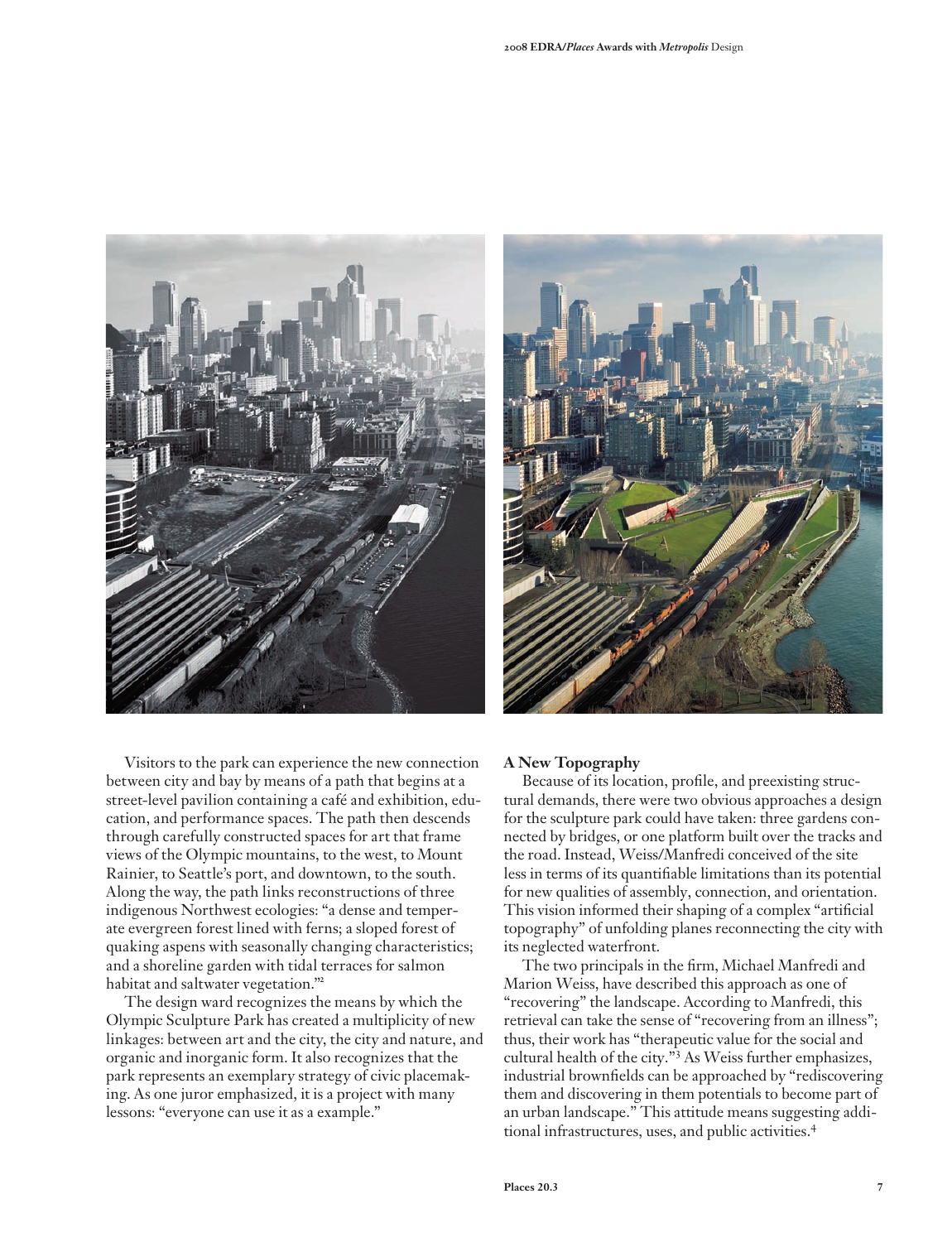

Visitors to the park can experience the new connection between city and bay by means of a path that begins at a street-level pavilion containing a café and exhibition, education, and performance spaces. The path then descends through carefully constructed spaces for art that frame views of the Olympic mountains, to the west, to Mount Rainier, to Seattle's port, and downtown, to the south. Along the way, the path links reconstructions of three indigenous Northwest ecologies: "a dense and temperate evergreen forest lined with ferns; a sloped forest of quaking aspens with seasonally changing characteristics; and a shoreline garden with tidal terraces for salmon habitat and saltwater vegetation."<sup>2</sup>

The design ward recognizes the means by which the Olympic Sculpture Park has created a multiplicity of new linkages: between art and the city, the city and nature, and organic and inorganic form. It also recognizes that the park represents an exemplary strategy of civic placemaking. As one juror emphasized, it is a project with many lessons: "everyone can use it as a example."



#### **A New Topography**

Because of its location, profile, and preexisting structural demands, there were two obvious approaches a design for the sculpture park could have taken: three gardens connected by bridges, or one platform built over the tracks and the road. Instead, Weiss/Manfredi conceived of the site less in terms of its quantifiable limitations than its potential for new qualities of assembly, connection, and orientation. This vision informed their shaping of a complex "artificial topography" of unfolding planes reconnecting the city with its neglected waterfront.

The two principals in the firm, Michael Manfredi and Marion Weiss, have described this approach as one of "recovering" the landscape. According to Manfredi, this retrieval can take the sense of "recovering from an illness"; thus, their work has "therapeutic value for the social and cultural health of the city."<sup>3</sup> As Weiss further emphasizes, industrial brownfields can be approached by "rediscovering them and discovering in them potentials to become part of an urban landscape." This attitude means suggesting additional infrastructures, uses, and public activities.<sup>4</sup>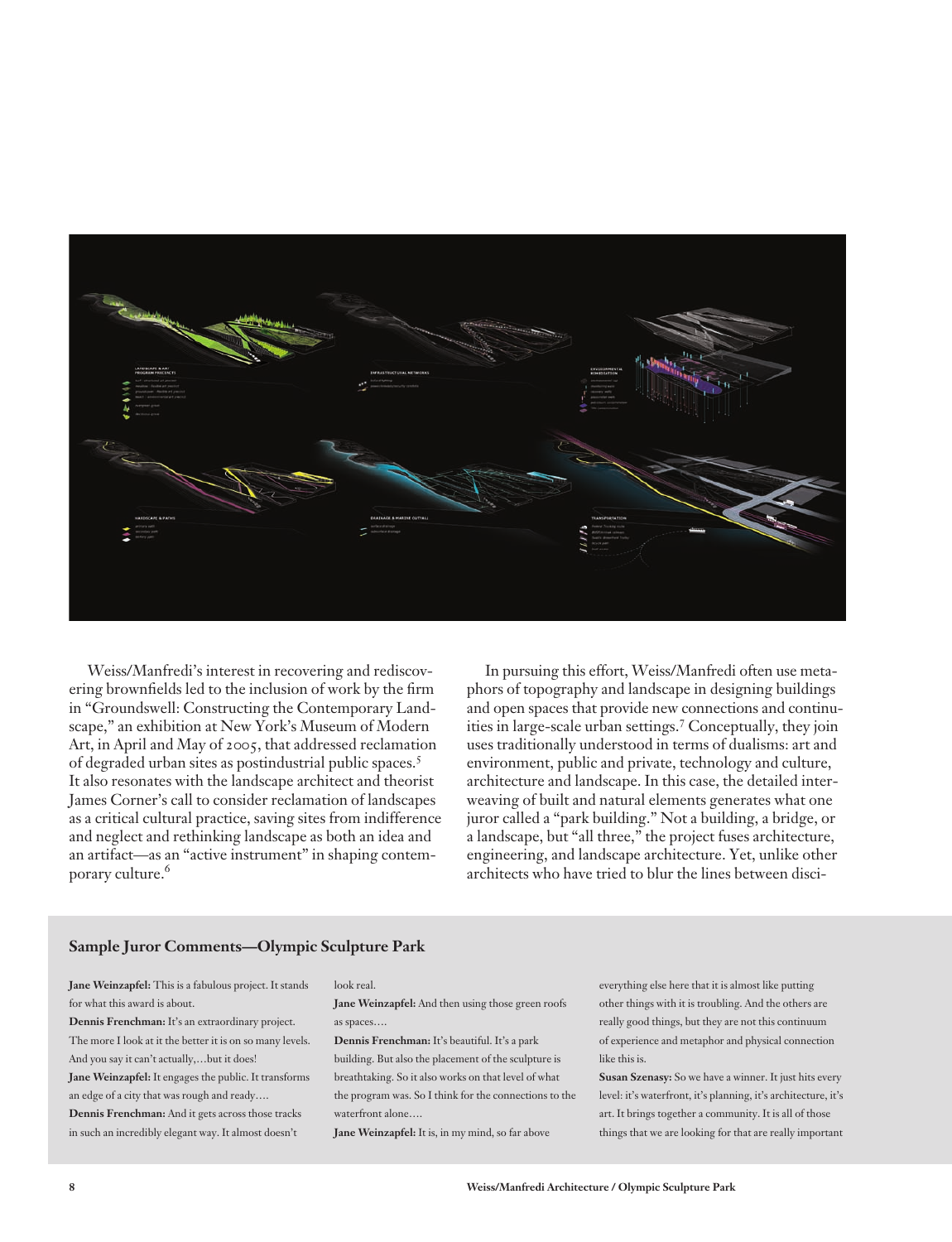

Weiss/Manfredi's interest in recovering and rediscovering brownfields led to the inclusion of work by the firm in "Groundswell: Constructing the Contemporary Landscape," an exhibition at New York's Museum of Modern Art, in April and May of 2005, that addressed reclamation of degraded urban sites as postindustrial public spaces.<sup>5</sup> It also resonates with the landscape architect and theorist James Corner's call to consider reclamation of landscapes as a critical cultural practice, saving sites from indifference and neglect and rethinking landscape as both an idea and an artifact—as an "active instrument" in shaping contemporary culture.<sup>6</sup>

In pursuing this effort, Weiss/Manfredi often use metaphors of topography and landscape in designing buildings and open spaces that provide new connections and continuities in large-scale urban settings.<sup>7</sup> Conceptually, they join uses traditionally understood in terms of dualisms: art and environment, public and private, technology and culture, architecture and landscape. In this case, the detailed interweaving of built and natural elements generates what one juror called a "park building." Not a building, a bridge, or a landscape, but "all three," the project fuses architecture, engineering, and landscape architecture. Yet, unlike other architects who have tried to blur the lines between disci-

#### **Sample Juror Comments—Olympic Sculpture Park**

**Jane Weinzapfel:** This is a fabulous project. It stands for what this award is about.

**Dennis Frenchman:** It's an extraordinary project. The more I look at it the better it is on so many levels. And you say it can't actually,…but it does! **Jane Weinzapfel:** It engages the public. It transforms an edge of a city that was rough and ready…. **Dennis Frenchman:** And it gets across those tracks in such an incredibly elegant way. It almost doesn't

#### look real.

**Jane Weinzapfel:** And then using those green roofs as spaces….

**Dennis Frenchman:** It's beautiful. It's a park building. But also the placement of the sculpture is breathtaking. So it also works on that level of what the program was. So I think for the connections to the waterfront alone….

**Jane Weinzapfel:** It is, in my mind, so far above

everything else here that it is almost like putting other things with it is troubling. And the others are really good things, but they are not this continuum of experience and metaphor and physical connection like this is.

**Susan Szenasy:** So we have a winner. It just hits every level: it's waterfront, it's planning, it's architecture, it's art. It brings together a community. It is all of those things that we are looking for that are really important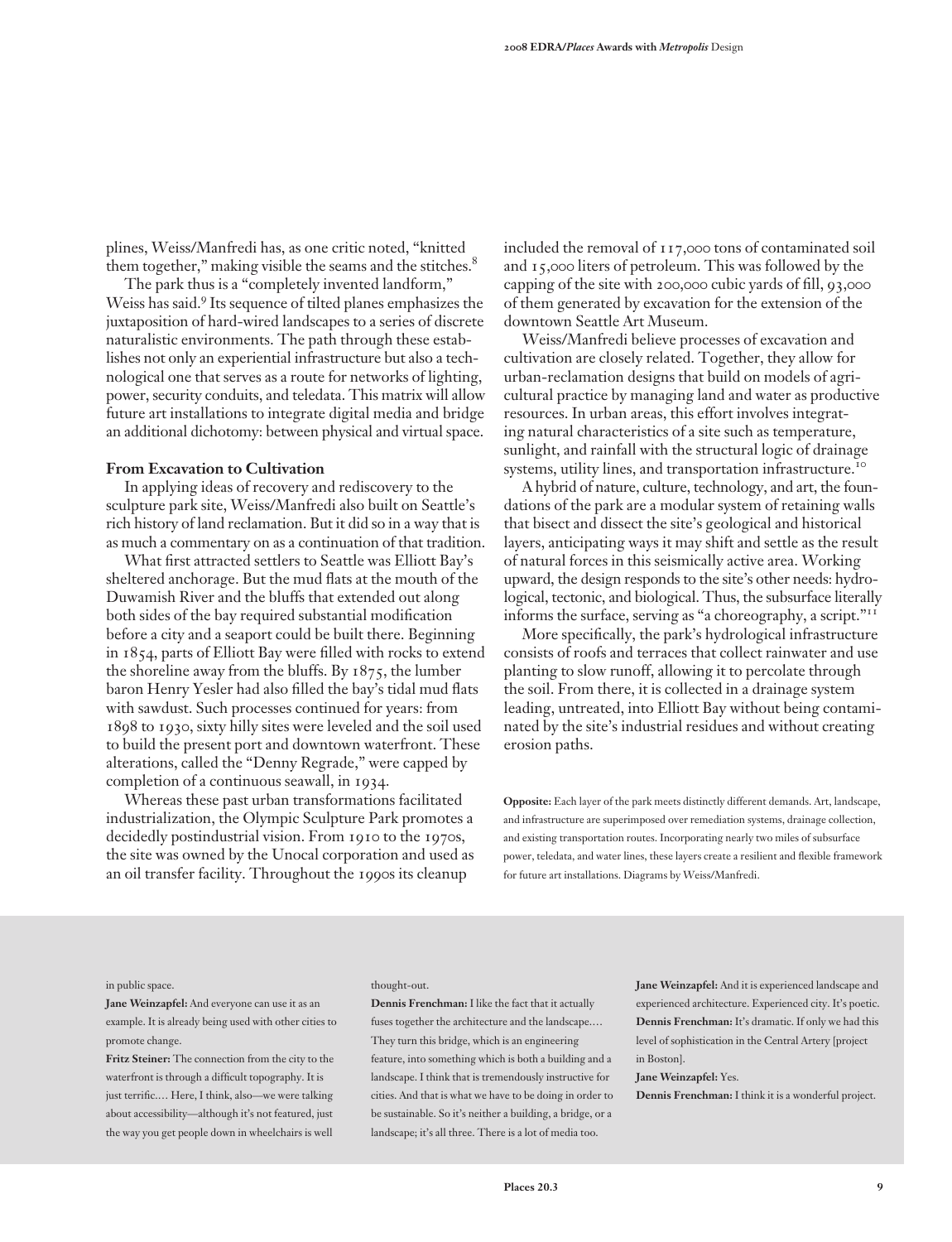plines, Weiss/Manfredi has, as one critic noted, "knitted them together," making visible the seams and the stitches.<sup>8</sup>

The park thus is a "completely invented landform," Weiss has said.9 Its sequence of tilted planes emphasizes the juxtaposition of hard-wired landscapes to a series of discrete naturalistic environments. The path through these establishes not only an experiential infrastructure but also a technological one that serves as a route for networks of lighting, power, security conduits, and teledata. This matrix will allow future art installations to integrate digital media and bridge an additional dichotomy: between physical and virtual space.

### **From Excavation to Cultivation**

In applying ideas of recovery and rediscovery to the sculpture park site, Weiss/Manfredi also built on Seattle's rich history of land reclamation. But it did so in a way that is as much a commentary on as a continuation of that tradition.

What first attracted settlers to Seattle was Elliott Bay's sheltered anchorage. But the mud flats at the mouth of the Duwamish River and the bluffs that extended out along both sides of the bay required substantial modification before a city and a seaport could be built there. Beginning in 1854, parts of Elliott Bay were filled with rocks to extend the shoreline away from the bluffs. By 1875, the lumber baron Henry Yesler had also filled the bay's tidal mud flats with sawdust. Such processes continued for years: from 1898 to 1930, sixty hilly sites were leveled and the soil used to build the present port and downtown waterfront. These alterations, called the "Denny Regrade," were capped by completion of a continuous seawall, in 1934.

Whereas these past urban transformations facilitated industrialization, the Olympic Sculpture Park promotes a decidedly postindustrial vision. From 1910 to the 1970s, the site was owned by the Unocal corporation and used as an oil transfer facility. Throughout the 1990s its cleanup

included the removal of 117,000 tons of contaminated soil and 15,000 liters of petroleum. This was followed by the capping of the site with 200,000 cubic yards of fill, 93,000 of them generated by excavation for the extension of the downtown Seattle Art Museum.

Weiss/Manfredi believe processes of excavation and cultivation are closely related. Together, they allow for urban-reclamation designs that build on models of agricultural practice by managing land and water as productive resources. In urban areas, this effort involves integrating natural characteristics of a site such as temperature, sunlight, and rainfall with the structural logic of drainage systems, utility lines, and transportation infrastructure.<sup>10</sup>

A hybrid of nature, culture, technology, and art, the foundations of the park are a modular system of retaining walls that bisect and dissect the site's geological and historical layers, anticipating ways it may shift and settle as the result of natural forces in this seismically active area. Working upward, the design responds to the site's other needs: hydrological, tectonic, and biological. Thus, the subsurface literally informs the surface, serving as "a choreography, a script."<sup>11</sup>

More specifically, the park's hydrological infrastructure consists of roofs and terraces that collect rainwater and use planting to slow runoff, allowing it to percolate through the soil. From there, it is collected in a drainage system leading, untreated, into Elliott Bay without being contaminated by the site's industrial residues and without creating erosion paths.

**Opposite:** Each layer of the park meets distinctly different demands. Art, landscape, and infrastructure are superimposed over remediation systems, drainage collection, and existing transportation routes. Incorporating nearly two miles of subsurface power, teledata, and water lines, these layers create a resilient and flexible framework for future art installations. Diagrams by Weiss/Manfredi.

#### in public space.

**Jane Weinzapfel:** And everyone can use it as an example. It is already being used with other cities to promote change.

**Fritz Steiner:** The connection from the city to the waterfront is through a difficult topography. It is just terrific.… Here, I think, also—we were talking about accessibility—although it's not featured, just the way you get people down in wheelchairs is well

#### thought-out.

**Dennis Frenchman:** I like the fact that it actually fuses together the architecture and the landscape.… They turn this bridge, which is an engineering feature, into something which is both a building and a landscape. I think that is tremendously instructive for cities. And that is what we have to be doing in order to be sustainable. So it's neither a building, a bridge, or a landscape; it's all three. There is a lot of media too.

**Jane Weinzapfel:** And it is experienced landscape and experienced architecture. Experienced city. It's poetic. **Dennis Frenchman:** It's dramatic. If only we had this level of sophistication in the Central Artery [project in Boston].

**Jane Weinzapfel:** Yes.

**Dennis Frenchman:** I think it is a wonderful project.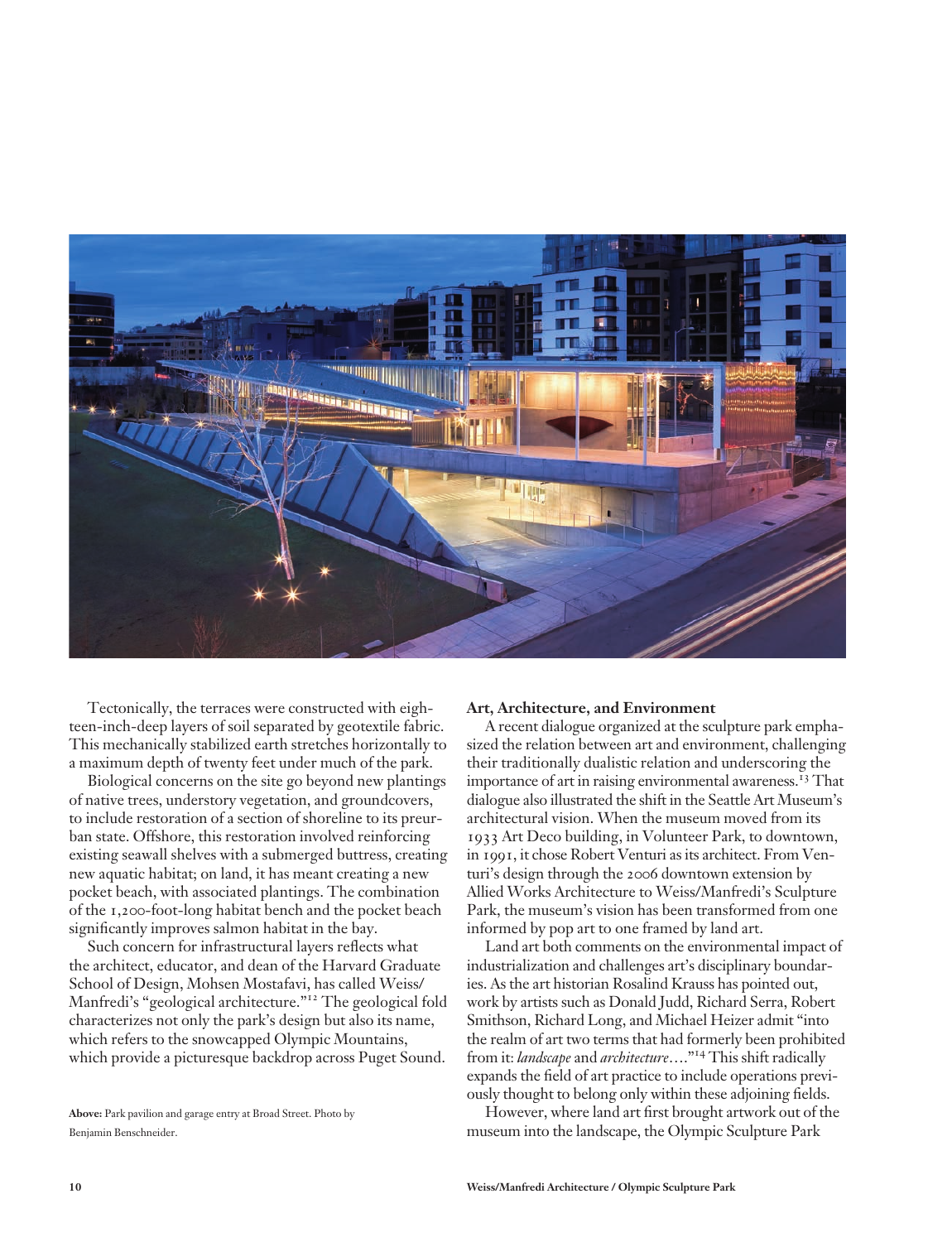

Tectonically, the terraces were constructed with eighteen-inch-deep layers of soil separated by geotextile fabric. This mechanically stabilized earth stretches horizontally to a maximum depth of twenty feet under much of the park.

Biological concerns on the site go beyond new plantings of native trees, understory vegetation, and groundcovers, to include restoration of a section of shoreline to its preurban state. Offshore, this restoration involved reinforcing existing seawall shelves with a submerged buttress, creating new aquatic habitat; on land, it has meant creating a new pocket beach, with associated plantings. The combination of the 1,200-foot-long habitat bench and the pocket beach significantly improves salmon habitat in the bay.

Such concern for infrastructural layers reflects what the architect, educator, and dean of the Harvard Graduate School of Design, Mohsen Mostafavi, has called Weiss/ Manfredi's "geological architecture."12 The geological fold characterizes not only the park's design but also its name, which refers to the snowcapped Olympic Mountains, which provide a picturesque backdrop across Puget Sound.

**Above:** Park pavilion and garage entry at Broad Street. Photo by Benjamin Benschneider.

#### **Art, Architecture, and Environment**

A recent dialogue organized at the sculpture park emphasized the relation between art and environment, challenging their traditionally dualistic relation and underscoring the importance of art in raising environmental awareness.<sup>13</sup> That dialogue also illustrated the shift in the Seattle Art Museum's architectural vision. When the museum moved from its 1933 Art Deco building, in Volunteer Park, to downtown, in 1991, it chose Robert Venturi as its architect. From Venturi's design through the 2006 downtown extension by Allied Works Architecture to Weiss/Manfredi's Sculpture Park, the museum's vision has been transformed from one informed by pop art to one framed by land art.

Land art both comments on the environmental impact of industrialization and challenges art's disciplinary boundaries. As the art historian Rosalind Krauss has pointed out, work by artists such as Donald Judd, Richard Serra, Robert Smithson, Richard Long, and Michael Heizer admit "into the realm of art two terms that had formerly been prohibited from it: *landscape* and *architecture*…."14 This shift radically expands the field of art practice to include operations previously thought to belong only within these adjoining fields.

However, where land art first brought artwork out of the museum into the landscape, the Olympic Sculpture Park